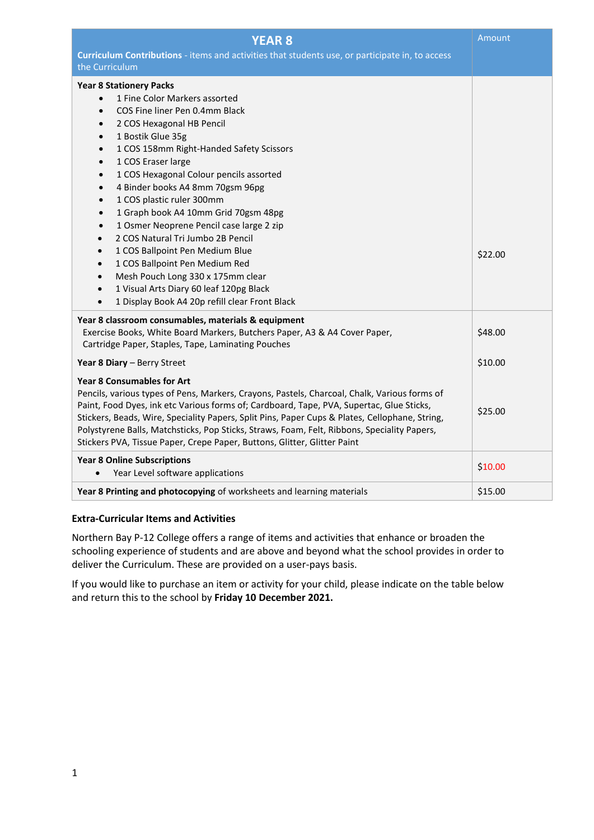| <b>YEAR 8</b><br>Curriculum Contributions - items and activities that students use, or participate in, to access                                                                                                                                                                                                                                                                                                                                                                                                                                                                                                                                                                                                                                                                                                                                                                  | Amount  |
|-----------------------------------------------------------------------------------------------------------------------------------------------------------------------------------------------------------------------------------------------------------------------------------------------------------------------------------------------------------------------------------------------------------------------------------------------------------------------------------------------------------------------------------------------------------------------------------------------------------------------------------------------------------------------------------------------------------------------------------------------------------------------------------------------------------------------------------------------------------------------------------|---------|
| the Curriculum                                                                                                                                                                                                                                                                                                                                                                                                                                                                                                                                                                                                                                                                                                                                                                                                                                                                    |         |
| <b>Year 8 Stationery Packs</b><br>1 Fine Color Markers assorted<br>$\bullet$<br>COS Fine liner Pen 0.4mm Black<br>$\bullet$<br>2 COS Hexagonal HB Pencil<br>$\bullet$<br>1 Bostik Glue 35g<br>$\bullet$<br>1 COS 158mm Right-Handed Safety Scissors<br>$\bullet$<br>1 COS Eraser large<br>$\bullet$<br>1 COS Hexagonal Colour pencils assorted<br>$\bullet$<br>4 Binder books A4 8mm 70gsm 96pg<br>$\bullet$<br>1 COS plastic ruler 300mm<br>$\bullet$<br>1 Graph book A4 10mm Grid 70gsm 48pg<br>$\bullet$<br>1 Osmer Neoprene Pencil case large 2 zip<br>$\bullet$<br>2 COS Natural Tri Jumbo 2B Pencil<br>$\bullet$<br>1 COS Ballpoint Pen Medium Blue<br>$\bullet$<br>1 COS Ballpoint Pen Medium Red<br>$\bullet$<br>Mesh Pouch Long 330 x 175mm clear<br>$\bullet$<br>1 Visual Arts Diary 60 leaf 120pg Black<br>$\bullet$<br>1 Display Book A4 20p refill clear Front Black | \$22.00 |
| Year 8 classroom consumables, materials & equipment                                                                                                                                                                                                                                                                                                                                                                                                                                                                                                                                                                                                                                                                                                                                                                                                                               |         |
| Exercise Books, White Board Markers, Butchers Paper, A3 & A4 Cover Paper,<br>Cartridge Paper, Staples, Tape, Laminating Pouches                                                                                                                                                                                                                                                                                                                                                                                                                                                                                                                                                                                                                                                                                                                                                   | \$48.00 |
| Year 8 Diary - Berry Street                                                                                                                                                                                                                                                                                                                                                                                                                                                                                                                                                                                                                                                                                                                                                                                                                                                       | \$10.00 |
| <b>Year 8 Consumables for Art</b><br>Pencils, various types of Pens, Markers, Crayons, Pastels, Charcoal, Chalk, Various forms of<br>Paint, Food Dyes, ink etc Various forms of; Cardboard, Tape, PVA, Supertac, Glue Sticks,<br>Stickers, Beads, Wire, Speciality Papers, Split Pins, Paper Cups & Plates, Cellophane, String,<br>Polystyrene Balls, Matchsticks, Pop Sticks, Straws, Foam, Felt, Ribbons, Speciality Papers,<br>Stickers PVA, Tissue Paper, Crepe Paper, Buttons, Glitter, Glitter Paint                                                                                                                                                                                                                                                                                                                                                                        | \$25.00 |
| <b>Year 8 Online Subscriptions</b><br>Year Level software applications                                                                                                                                                                                                                                                                                                                                                                                                                                                                                                                                                                                                                                                                                                                                                                                                            | \$10.00 |
| Year 8 Printing and photocopying of worksheets and learning materials                                                                                                                                                                                                                                                                                                                                                                                                                                                                                                                                                                                                                                                                                                                                                                                                             | \$15.00 |

### **Extra-Curricular Items and Activities**

Northern Bay P-12 College offers a range of items and activities that enhance or broaden the schooling experience of students and are above and beyond what the school provides in order to deliver the Curriculum. These are provided on a user-pays basis.

If you would like to purchase an item or activity for your child, please indicate on the table below and return this to the school by **Friday 10 December 2021.**